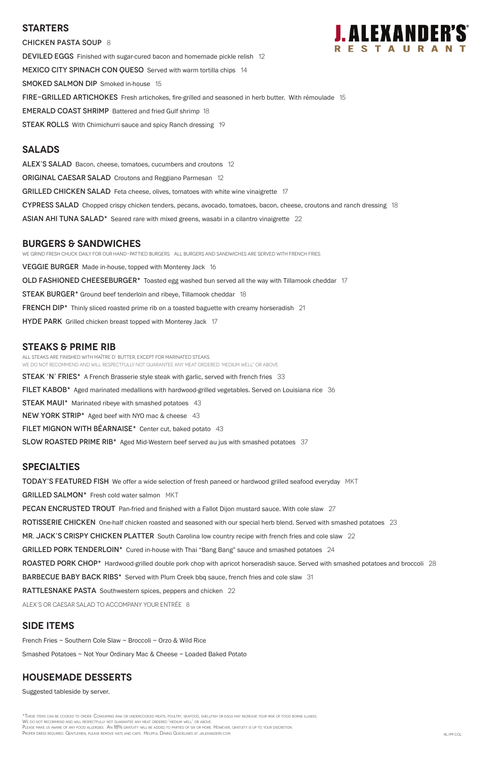## **Starters**

CHICKEN PASTA SOUP 8 DEVILED EGGS Finished with sugar-cured bacon and homemade pickle relish 12 MEXICO CITY SPINACH CON QUESO Served with warm tortilla chips 14 **SMOKED SALMON DIP** Smoked in-house 15 FIRE-GRILLED ARTICHOKES Fresh artichokes, fire-grilled and seasoned in herb butter. With rémoulade 15 EMERALD COAST SHRIMP Battered and fried Gulf shrimp 18 **STEAK ROLLS** With Chimichurri sauce and spicy Ranch dressing 19

#### **Salads**

ALEX'S SALAD Bacon, cheese, tomatoes, cucumbers and croutons 12 **ORIGINAL CAESAR SALAD** Croutons and Reggiano Parmesan 12 GRILLED CHICKEN SALAD Feta cheese, olives, tomatoes with white wine vinaigrette 17 CYPRESS SALAD Chopped crispy chicken tenders, pecans, avocado, tomatoes, bacon, cheese, croutons and ranch dressing 18 ASIAN AHI TUNA SALAD\* Seared rare with mixed greens, wasabi in a cilantro vinaigrette 22

#### **burgers & Sandwiches**

We grind fresh chuck daily for our hand-pattied burgers. All Burgers and sandwiches are served with French Fries. VEGGIE BURGER Made in-house, topped with Monterey Jack 16 OLD FASHIONED CHEESEBURGER\* Toasted egg washed bun served all the way with Tillamook cheddar 17 STEAK BURGER\* Ground beef tenderloin and ribeye, Tillamook cheddar 18 FRENCH DIP\* Thinly sliced roasted prime rib on a toasted baguette with creamy horseradish 21 HYDE PARK Grilled chicken breast topped with Monterey Jack 17

## **STEAKS & Prime Rib**

All steaks are finished with Maître d' butter, except for marinated steaks. WE DO NOT RECOMMEND AND WILL RESPECTFULLY NOT GUARANTEE ANY MEAT ORDERED 'MEDIUM WELL" OR ABOVE.

**STEAK 'N' FRIES\*** A French Brasserie style steak with garlic, served with french fries 33

\*These items can be cooked to order. Consuming raw or undercooked meats, poultry, seafood, shellfish or eggs may increase your risk of food borne illness. We do not recommend and will respectfully not guarantee any meat ordered 'medium well' or above. PLEASE MAKE US AWARE OF ANY FOOD ALLERGIES. AN 18% GRATUITY WILL BE ADDED TO PARTIES OF SIX OR MORE. HOWEVER, GRATUITY IS UP TO YOUR DISCRETION. Proper dress required. Gentlemen, please remove hats and caps. Helpful Dining Guidelines at jalexanders.com. RL/PP Collectives at jalexanders.com.

FILET KABOB\* Aged marinated medallions with hardwood-grilled vegetables. Served on Louisiana rice 36

**STEAK MAUI\*** Marinated ribeye with smashed potatoes 43

NEW YORK STRIP\* Aged beef with NYO mac & cheese 43

FILET MIGNON WITH BÉARNAISE\* Center cut, baked potato 43

SLOW ROASTED PRIME RIB<sup>\*</sup> Aged Mid-Western beef served au jus with smashed potatoes 37

## **specialties**

TODAY'S FEATURED FISH We offer a wide selection of fresh paneed or hardwood grilled seafood everyday MKT

GRILLED SALMON\* Fresh cold water salmon MKT

PECAN ENCRUSTED TROUT Pan-fried and finished with a Fallot Dijon mustard sauce. With cole slaw 27

ROTISSERIE CHICKEN One-half chicken roasted and seasoned with our special herb blend. Served with smashed potatoes 23

MR. JACK'S CRISPY CHICKEN PLATTER South Carolina low country recipe with french fries and cole slaw 22

GRILLED PORK TENDERLOIN\* Cured in-house with Thai "Bang Bang" sauce and smashed potatoes 24



ROASTED PORK CHOP\* Hardwood-grilled double pork chop with apricot horseradish sauce. Served with smashed potatoes and broccoli 28

BARBECUE BABY BACK RIBS\* Served with Plum Creek bbg sauce, french fries and cole slaw 31

RATTLESNAKE PASTA Southwestern spices, peppers and chicken 22

ALEX's or Caesar salad to accompany your entrée 8

## **SIDE ITEMS**

French Fries ~ Southern Cole Slaw ~ Broccoli ~ Orzo & Wild Rice

Smashed Potatoes ~ Not Your Ordinary Mac & Cheese ~ Loaded Baked Potato

## **housemade DESSERTS**

Suggested tableside by server.